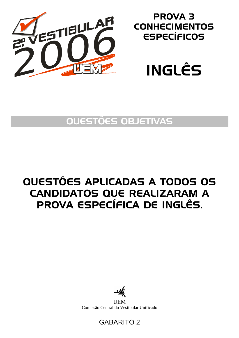

## PROVA 3 **CONHECIMENTOS** ESPECÍFICOS



## QUESTÕES OBJETIVAS

# QUESTÕES APLICADAS A TODOS OS CANDIDATOS QUE REALIZARAM A PROVA ESPECÍFICA DE INGLÊS.



**UEM** Comissão Central do Vestibular Unificado

### GABARITO 2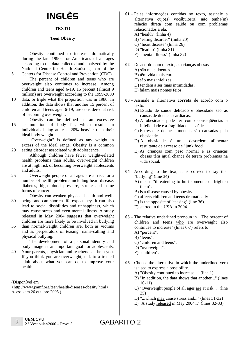# INGLÊS

### **TEXTO**

#### **Teen Obesity**

Obesity continued to increase dramatically during the late 1990s for Americans of all ages according to the data collected and analyzed by the National Center for Health Statistics, part of the Centers for Disease Control and Prevention (CDC).

The percent of children and teens who are overweight also continues to increase. Among children and teens aged 6-19, 15 percent (almost 9 million) are overweight according to the 1999-2000

- 10 data, or triple what the proportion was in 1980. In addition, the data shows that another 15 percent of children and teens aged 6-19, are considered at risk of becoming overweight.
- 15 Obesity can be defined as an excessive accumulation of body fat, which results in individuals being at least 20% heavier than their ideal body weight.

"Overweight" is defined as any weight in excess of the ideal range. Obesity is a common eating disorder associated with adolescence.

Although children have fewer weight-related health problems than adults, overweight children are at high risk of becoming overweight adolescents and adults.

25 Overweight people of all ages are at risk for a number of health problems including heart disease, diabetes, high blood pressure, stroke and some forms of cancer.

30 Obesity can weaken physical health and wellbeing, and can shorten life expectancy. It can also lead to social disabilities and unhappiness, which may cause stress and even mental illness. A study released in May 2004 suggests that overweight children are more likely to be involved in bullying

35 than normal-weight children are, both as victims and as perpetrators of teasing, name-calling and physical bullying.

The development of a personal identity and body image is an important goal for adolescents.

40 Your parents, physician and teachers can help you. If you think you are overweight, talk to a trusted adult about what you can do to improve your health.

(Disponível em

5

20

<http://www.pamf.org/teen/health/diseases/obesity.html>. Acesso em 26 outubro 2005.)

- **01** Pelas informações contidas no texto, assinale a alternativa cujo(s) vocábulos(s) **não** tenha(m) relação direta com saúde ou com problemas relacionados a ela.
	- A) "health" (linha 4)
	- B) "eating disorder" (linha 20)
	- C) "heart disease" (linha 26)
	- D) "lead to" (linha 31)
	- E) "mental illness" (linha 32)
- **02** De acordo com o texto, as crianças obesas
	- A) são mais doentes.
	- B) têm vida mais curta.
	- C) são mais infelizes.
	- D) tendem a ser mais intimidadas.
	- E) falam mais nomes feios.
- **03** Assinale a alternativa **correta** de acordo com o texto.
	- A) Estado de saúde delicado e obesidade são as causas de doenças cardíacas.
	- B) A obesidade pode ter como conseqüências a infelicidade e a fragilidade na saúde.
	- C) Estresse e doenças mentais são causadas pela obesidade.
	- D) A obesidade é uma desordem alimentar resultante de excesso de "junk food".
	- E) As crianças com peso normal e as crianças obesas têm igual chance de terem problemas na vida social.
- **04** According to the text, it is correct to say that "bullying" (line 34)
	- A) means "threatening to hurt someone or frighten them".
	- B) is a disease caused by obesity.
	- C) affects children and teens dramatically.
	- D) is the opposite of "teasing" (line 36).
	- E) started in the USA in 2004.
- **05** The relative underlined pronoun in "The percent of children and teens who are overweight also continues to increase" (lines 6-7) refers to
	- A) "percent".
	- B) "teens".
	- C) "children and teens".
	- D) "overweight".
	- E) "children".
- **06** Choose the alternative in which the underlined verb is used to express a possibility.
	- A) "Obesity continued to increase..." (line 1)
	- B) "In addition, the data shows that another..." (lines 10-11)
	- C) "Overweight people of all ages are at risk..." (line 25)
	- D) "...which may cause stress and..." (lines 31-32)
	- E) "A study released in May 2004..." (lines 32-33)

GABARITO 2